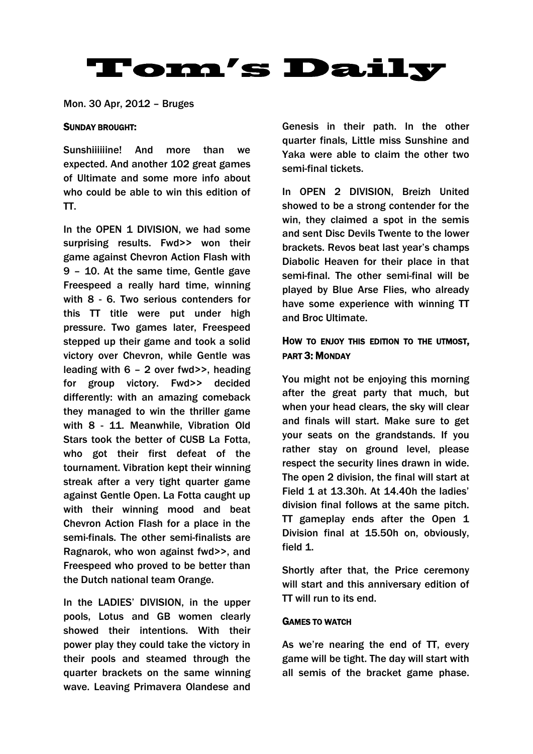# **Tom's Daily**

Mon. 30 Apr, 2012 – Bruges

#### SUNDAY BROUGHT:

Sunshiiiiiine! And more than we expected. And another 102 great games of Ultimate and some more info about who could be able to win this edition of TT.

In the OPEN 1 DIVISION, we had some surprising results. Fwd>> won their game against Chevron Action Flash with 9 – 10. At the same time, Gentle gave Freespeed a really hard time, winning with 8 - 6. Two serious contenders for this TT title were put under high pressure. Two games later, Freespeed stepped up their game and took a solid victory over Chevron, while Gentle was leading with 6 – 2 over fwd>>, heading for group victory. Fwd>> decided differently: with an amazing comeback they managed to win the thriller game with 8 - 11. Meanwhile, Vibration Old Stars took the better of CUSB La Fotta, who got their first defeat of the tournament. Vibration kept their winning streak after a very tight quarter game against Gentle Open. La Fotta caught up with their winning mood and beat Chevron Action Flash for a place in the semi-finals. The other semi-finalists are Ragnarok, who won against fwd>>, and Freespeed who proved to be better than the Dutch national team Orange.

In the LADIES' DIVISION, in the upper pools, Lotus and GB women clearly showed their intentions. With their power play they could take the victory in their pools and steamed through the quarter brackets on the same winning wave. Leaving Primavera Olandese and Genesis in their path. In the other quarter finals, Little miss Sunshine and Yaka were able to claim the other two semi-final tickets.

In OPEN 2 DIVISION, Breizh United showed to be a strong contender for the win, they claimed a spot in the semis and sent Disc Devils Twente to the lower brackets. Revos beat last year's champs Diabolic Heaven for their place in that semi-final. The other semi-final will be played by Blue Arse Flies, who already have some experience with winning TT and Broc Ultimate.

# HOW TO ENJOY THIS EDITION TO THE UTMOST, PART 3: MONDAY

You might not be enjoying this morning after the great party that much, but when your head clears, the sky will clear and finals will start. Make sure to get your seats on the grandstands. If you rather stay on ground level, please respect the security lines drawn in wide. The open 2 division, the final will start at Field 1 at 13.30h. At 14.40h the ladies' division final follows at the same pitch. TT gameplay ends after the Open 1 Division final at 15.50h on, obviously, field 1.

Shortly after that, the Price ceremony will start and this anniversary edition of TT will run to its end.

# GAMES TO WATCH

As we're nearing the end of TT, every game will be tight. The day will start with all semis of the bracket game phase.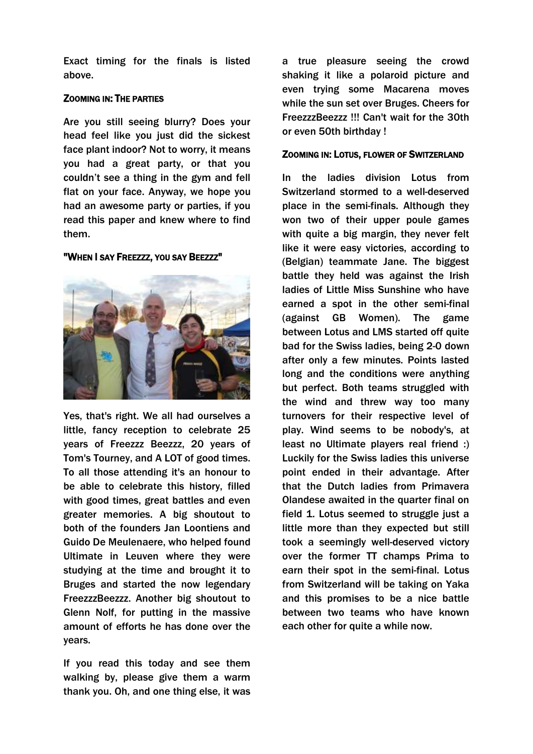Exact timing for the finals is listed above.

# ZOOMING IN: THE PARTIES

Are you still seeing blurry? Does your head feel like you just did the sickest face plant indoor? Not to worry, it means you had a great party, or that you couldn't see a thing in the gym and fell flat on your face. Anyway, we hope you had an awesome party or parties, if you read this paper and knew where to find them.

# "WHEN I SAY FREEZZZ, YOU SAY BEEZZZ"



Yes, that's right. We all had ourselves a little, fancy reception to celebrate 25 years of Freezzz Beezzz, 20 years of Tom's Tourney, and A LOT of good times. To all those attending it's an honour to be able to celebrate this history, filled with good times, great battles and even greater memories. A big shoutout to both of the founders Jan Loontiens and Guido De Meulenaere, who helped found Ultimate in Leuven where they were studying at the time and brought it to Bruges and started the now legendary FreezzzBeezzz. Another big shoutout to Glenn Nolf, for putting in the massive amount of efforts he has done over the years.

If you read this today and see them walking by, please give them a warm thank you. Oh, and one thing else, it was a true pleasure seeing the crowd shaking it like a polaroid picture and even trying some Macarena moves while the sun set over Bruges. Cheers for FreezzzBeezzz !!! Can't wait for the 30th or even 50th birthday !

#### ZOOMING IN: LOTUS, FLOWER OF SWITZERLAND

In the ladies division Lotus from Switzerland stormed to a well-deserved place in the semi-finals. Although they won two of their upper poule games with quite a big margin, they never felt like it were easy victories, according to (Belgian) teammate Jane. The biggest battle they held was against the Irish ladies of Little Miss Sunshine who have earned a spot in the other semi-final (against GB Women). The game between Lotus and LMS started off quite bad for the Swiss ladies, being 2-0 down after only a few minutes. Points lasted long and the conditions were anything but perfect. Both teams struggled with the wind and threw way too many turnovers for their respective level of play. Wind seems to be nobody's, at least no Ultimate players real friend :) Luckily for the Swiss ladies this universe point ended in their advantage. After that the Dutch ladies from Primavera Olandese awaited in the quarter final on field 1. Lotus seemed to struggle just a little more than they expected but still took a seemingly well-deserved victory over the former TT champs Prima to earn their spot in the semi-final. Lotus from Switzerland will be taking on Yaka and this promises to be a nice battle between two teams who have known each other for quite a while now.